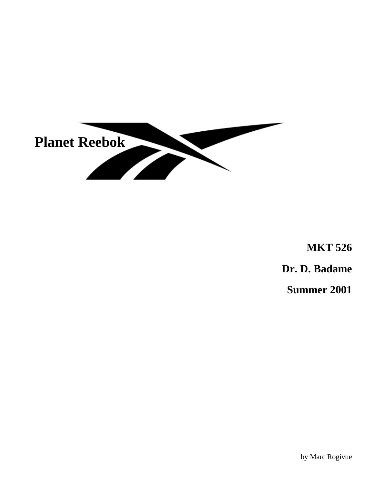

**MKT 526** 

**Dr. D. Badame** 

**Summer 2001** 

by Marc Rogivue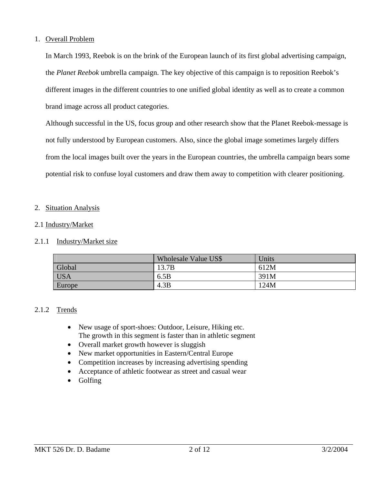#### 1. Overall Problem

In March 1993, Reebok is on the brink of the European launch of its first global advertising campaign, the *Planet Reebok* umbrella campaign. The key objective of this campaign is to reposition Reebok's different images in the different countries to one unified global identity as well as to create a common brand image across all product categories.

Although successful in the US, focus group and other research show that the Planet Reebok-message is not fully understood by European customers. Also, since the global image sometimes largely differs from the local images built over the years in the European countries, the umbrella campaign bears some potential risk to confuse loyal customers and draw them away to competition with clearer positioning.

#### 2. Situation Analysis

#### 2.1 Industry/Market

#### 2.1.1 Industry/Market size

|            | Wholesale Value US\$ | Units |
|------------|----------------------|-------|
| Global     | 13.7B                | 612M  |
| <b>USA</b> | 6.5B                 | 391M  |
| Europe     | 4.3B                 | 124M  |

#### 2.1.2 Trends

- New usage of sport-shoes: Outdoor, Leisure, Hiking etc. The growth in this segment is faster than in athletic segment
- Overall market growth however is sluggish
- New market opportunities in Eastern/Central Europe
- Competition increases by increasing advertising spending
- Acceptance of athletic footwear as street and casual wear
- Golfing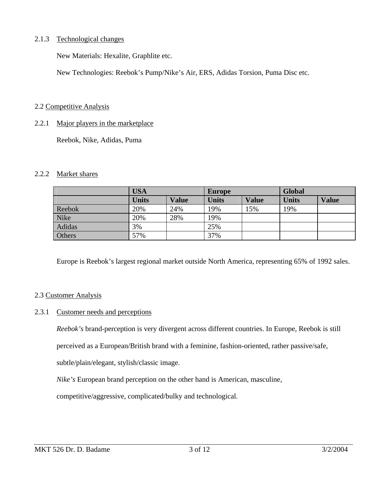### 2.1.3 Technological changes

New Materials: Hexalite, Graphlite etc.

New Technologies: Reebok's Pump/Nike's Air, ERS, Adidas Torsion, Puma Disc etc.

#### 2.2 Competitive Analysis

#### 2.2.1 Major players in the marketplace

Reebok, Nike, Adidas, Puma

#### 2.2.2 Market shares

|        | <b>USA</b>   |              | <b>Europe</b> |              | <b>Global</b> |              |
|--------|--------------|--------------|---------------|--------------|---------------|--------------|
|        | <b>Units</b> | <b>Value</b> | <b>Units</b>  | <b>Value</b> | <b>Units</b>  | <b>Value</b> |
| Reebok | 20%          | 24%          | 19%           | 15%          | 19%           |              |
| Nike   | 20%          | 28%          | 19%           |              |               |              |
| Adidas | 3%           |              | 25%           |              |               |              |
| Others | 57%          |              | 37%           |              |               |              |

Europe is Reebok's largest regional market outside North America, representing 65% of 1992 sales.

#### 2.3 Customer Analysis

#### 2.3.1 Customer needs and perceptions

*Reebok's* brand-perception is very divergent across different countries. In Europe, Reebok is still

perceived as a European/British brand with a feminine, fashion-oriented, rather passive/safe,

subtle/plain/elegant, stylish/classic image.

*Nike's* European brand perception on the other hand is American, masculine,

competitive/aggressive, complicated/bulky and technological.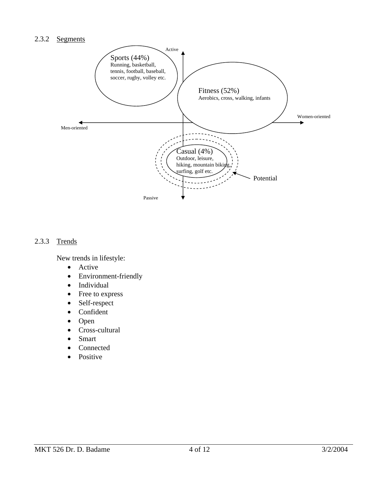### 2.3.2 Segments



#### 2.3.3 Trends

New trends in lifestyle:

- Active
- Environment-friendly
- Individual
- Free to express
- Self-respect
- Confident
- Open
- Cross-cultural
- Smart
- Connected
- Positive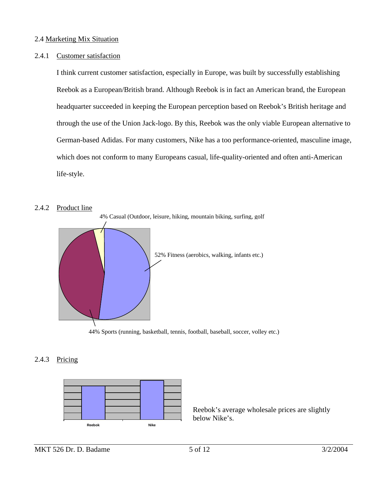#### 2.4 Marketing Mix Situation

#### 2.4.1 Customer satisfaction

I think current customer satisfaction, especially in Europe, was built by successfully establishing Reebok as a European/British brand. Although Reebok is in fact an American brand, the European headquarter succeeded in keeping the European perception based on Reebok's British heritage and through the use of the Union Jack-logo. By this, Reebok was the only viable European alternative to German-based Adidas. For many customers, Nike has a too performance-oriented, masculine image, which does not conform to many Europeans casual, life-quality-oriented and often anti-American life-style.

#### 2.4.2 Product line



44% Sports (running, basketball, tennis, football, baseball, soccer, volley etc.)

#### 2.4.3 Pricing

| Reebok | <b>Nike</b> |  |
|--------|-------------|--|

Reebok's average wholesale prices are slightly below Nike's.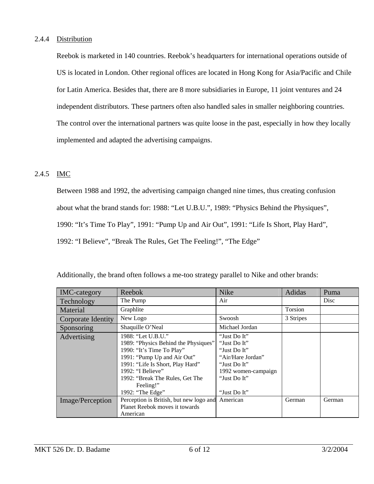#### 2.4.4 Distribution

Reebok is marketed in 140 countries. Reebok's headquarters for international operations outside of US is located in London. Other regional offices are located in Hong Kong for Asia/Pacific and Chile for Latin America. Besides that, there are 8 more subsidiaries in Europe, 11 joint ventures and 24 independent distributors. These partners often also handled sales in smaller neighboring countries. The control over the international partners was quite loose in the past, especially in how they locally implemented and adapted the advertising campaigns.

### 2.4.5 IMC

Between 1988 and 1992, the advertising campaign changed nine times, thus creating confusion about what the brand stands for: 1988: "Let U.B.U.", 1989: "Physics Behind the Physiques", 1990: "It's Time To Play", 1991: "Pump Up and Air Out", 1991: "Life Is Short, Play Hard", 1992: "I Believe", "Break The Rules, Get The Feeling!", "The Edge"

| <b>IMC-category</b> | Reebok                                                                                                                                                                                                                                              | Nike                                                                                                                                     | Adidas    | Puma        |
|---------------------|-----------------------------------------------------------------------------------------------------------------------------------------------------------------------------------------------------------------------------------------------------|------------------------------------------------------------------------------------------------------------------------------------------|-----------|-------------|
| Technology          | The Pump                                                                                                                                                                                                                                            | Air                                                                                                                                      |           | <b>Disc</b> |
| Material            | Graphlite                                                                                                                                                                                                                                           |                                                                                                                                          | Torsion   |             |
| Corporate Identity  | New Logo                                                                                                                                                                                                                                            | Swoosh                                                                                                                                   | 3 Stripes |             |
| Sponsoring          | Shaquille O'Neal                                                                                                                                                                                                                                    | Michael Jordan                                                                                                                           |           |             |
| Advertising         | 1988: "Let U.B.U."<br>1989: "Physics Behind the Physiques"<br>1990: "It's Time To Play"<br>1991: "Pump Up and Air Out"<br>1991: "Life Is Short, Play Hard"<br>1992: "I Believe"<br>1992: "Break The Rules, Get The<br>Feeling!"<br>1992: "The Edge" | "Just Do It"<br>"Just Do It"<br>"Just Do It"<br>"Air/Hare Jordan"<br>"Just Do It"<br>1992 women-campaign<br>"Just Do It"<br>"Just Do It" |           |             |
| Image/Perception    | Perception is British, but new logo and<br>Planet Reebok moves it towards<br>American                                                                                                                                                               | American                                                                                                                                 | German    | German      |

Additionally, the brand often follows a me-too strategy parallel to Nike and other brands: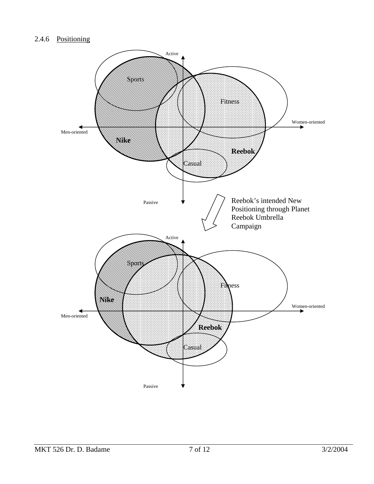## 2.4.6 Positioning

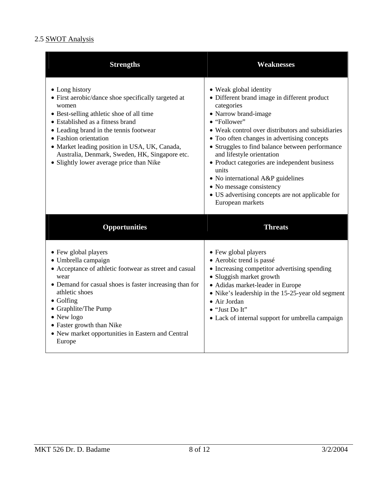# 2.5 SWOT Analysis

| <b>Strengths</b>                                                                                                                                                                                                                                                                                                                                                                 | <b>Weaknesses</b>                                                                                                                                                                                                                                                                                                                                                                                                                                                                                                   |
|----------------------------------------------------------------------------------------------------------------------------------------------------------------------------------------------------------------------------------------------------------------------------------------------------------------------------------------------------------------------------------|---------------------------------------------------------------------------------------------------------------------------------------------------------------------------------------------------------------------------------------------------------------------------------------------------------------------------------------------------------------------------------------------------------------------------------------------------------------------------------------------------------------------|
| • Long history<br>• First aerobic/dance shoe specifically targeted at<br>women<br>• Best-selling athletic shoe of all time<br>• Established as a fitness brand<br>• Leading brand in the tennis footwear<br>• Fashion orientation<br>· Market leading position in USA, UK, Canada,<br>Australia, Denmark, Sweden, HK, Singapore etc.<br>• Slightly lower average price than Nike | • Weak global identity<br>• Different brand image in different product<br>categories<br>• Narrow brand-image<br>• "Follower"<br>• Weak control over distributors and subsidiaries<br>• Too often changes in advertising concepts<br>• Struggles to find balance between performance<br>and lifestyle orientation<br>• Product categories are independent business<br>units<br>• No international A&P guidelines<br>• No message consistency<br>• US advertising concepts are not applicable for<br>European markets |
| <b>Opportunities</b>                                                                                                                                                                                                                                                                                                                                                             | <b>Threats</b>                                                                                                                                                                                                                                                                                                                                                                                                                                                                                                      |
|                                                                                                                                                                                                                                                                                                                                                                                  |                                                                                                                                                                                                                                                                                                                                                                                                                                                                                                                     |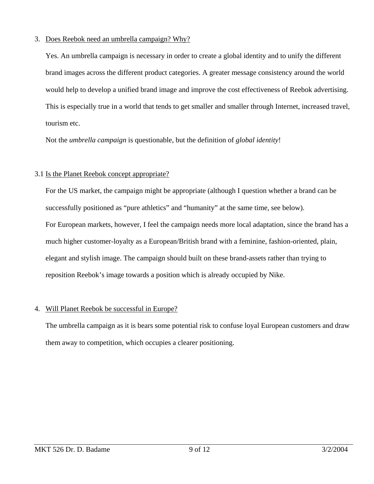#### 3. Does Reebok need an umbrella campaign? Why?

Yes. An umbrella campaign is necessary in order to create a global identity and to unify the different brand images across the different product categories. A greater message consistency around the world would help to develop a unified brand image and improve the cost effectiveness of Reebok advertising. This is especially true in a world that tends to get smaller and smaller through Internet, increased travel, tourism etc.

Not the *umbrella campaign* is questionable, but the definition of *global identity*!

### 3.1 Is the Planet Reebok concept appropriate?

For the US market, the campaign might be appropriate (although I question whether a brand can be successfully positioned as "pure athletics" and "humanity" at the same time, see below). For European markets, however, I feel the campaign needs more local adaptation, since the brand has a much higher customer-loyalty as a European/British brand with a feminine, fashion-oriented, plain, elegant and stylish image. The campaign should built on these brand-assets rather than trying to reposition Reebok's image towards a position which is already occupied by Nike.

## 4. Will Planet Reebok be successful in Europe?

The umbrella campaign as it is bears some potential risk to confuse loyal European customers and draw them away to competition, which occupies a clearer positioning.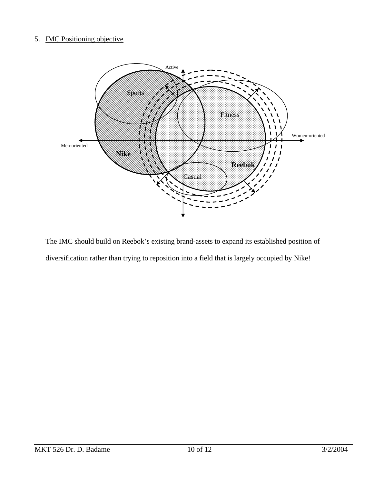## 5. IMC Positioning objective



The IMC should build on Reebok's existing brand-assets to expand its established position of diversification rather than trying to reposition into a field that is largely occupied by Nike!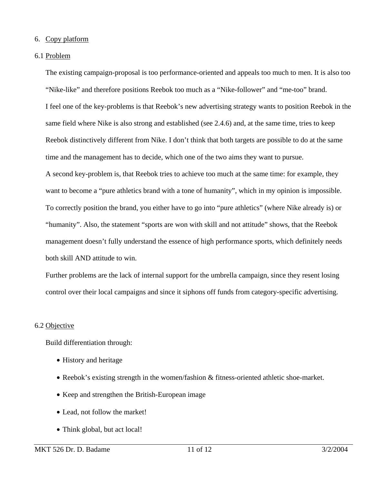#### 6. Copy platform

#### 6.1 Problem

The existing campaign-proposal is too performance-oriented and appeals too much to men. It is also too "Nike-like" and therefore positions Reebok too much as a "Nike-follower" and "me-too" brand. I feel one of the key-problems is that Reebok's new advertising strategy wants to position Reebok in the same field where Nike is also strong and established (see 2.4.6) and, at the same time, tries to keep Reebok distinctively different from Nike. I don't think that both targets are possible to do at the same time and the management has to decide, which one of the two aims they want to pursue. A second key-problem is, that Reebok tries to achieve too much at the same time: for example, they want to become a "pure athletics brand with a tone of humanity", which in my opinion is impossible.

To correctly position the brand, you either have to go into "pure athletics" (where Nike already is) or "humanity". Also, the statement "sports are won with skill and not attitude" shows, that the Reebok management doesn't fully understand the essence of high performance sports, which definitely needs both skill AND attitude to win.

Further problems are the lack of internal support for the umbrella campaign, since they resent losing control over their local campaigns and since it siphons off funds from category-specific advertising.

#### 6.2 Objective

Build differentiation through:

- History and heritage
- Reebok's existing strength in the women/fashion & fitness-oriented athletic shoe-market.
- Keep and strengthen the British-European image
- Lead, not follow the market!
- Think global, but act local!